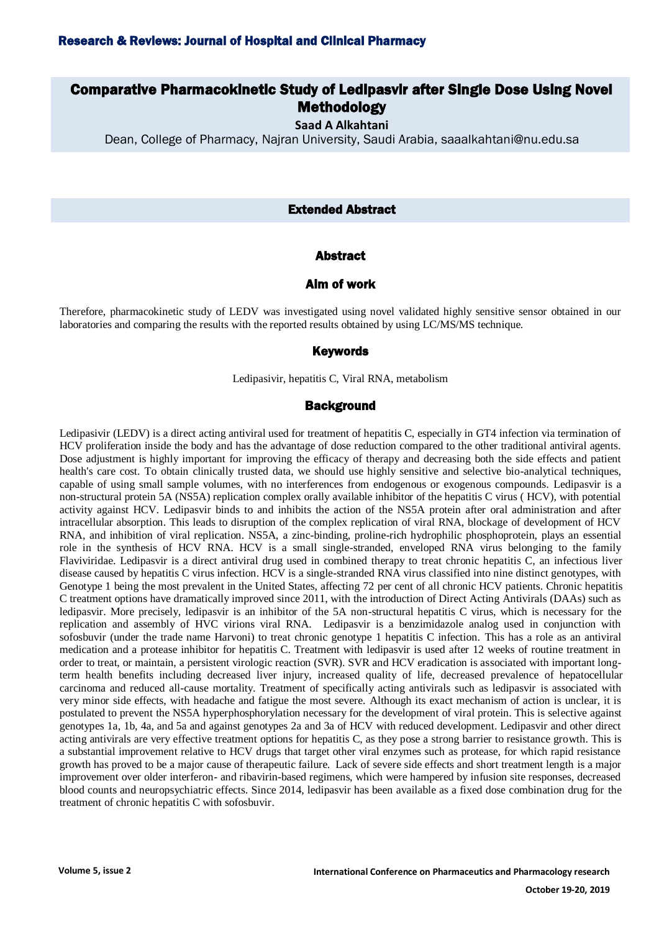# Research & Reviews: Journal of Hospital and Clinical Pharmacy

# Comparative Pharmacokinetic Study of Ledipasvir after Single Dose Using Novel **Methodology**

**Saad A Alkahtani**

Dean, College of Pharmacy, Najran University, Saudi Arabia, saaalkahtani@nu.edu.sa

### Extended Abstract

### Abstract

# Aim of work

Therefore, pharmacokinetic study of LEDV was investigated using novel validated highly sensitive sensor obtained in our laboratories and comparing the results with the reported results obtained by using LC/MS/MS technique.

#### Keywords

Ledipasivir, hepatitis C, Viral RNA, metabolism

### **Background**

Ledipasivir (LEDV) is a direct acting antiviral used for treatment of hepatitis C, especially in GT4 infection via termination of HCV proliferation inside the body and has the advantage of dose reduction compared to the other traditional antiviral agents. Dose adjustment is highly important for improving the efficacy of therapy and decreasing both the side effects and patient health's care cost. To obtain clinically trusted data, we should use highly sensitive and selective bio-analytical techniques, capable of using small sample volumes, with no interferences from endogenous or exogenous compounds. Ledipasvir is a non-structural protein 5A (NS5A) replication complex orally available inhibitor of the hepatitis C virus ( HCV), with potential activity against HCV. Ledipasvir binds to and inhibits the action of the NS5A protein after oral administration and after intracellular absorption. This leads to disruption of the complex replication of viral RNA, blockage of development of HCV RNA, and inhibition of viral replication. NS5A, a zinc-binding, proline-rich hydrophilic phosphoprotein, plays an essential role in the synthesis of HCV RNA. HCV is a small single-stranded, enveloped RNA virus belonging to the family Flaviviridae. Ledipasvir is a direct antiviral drug used in combined therapy to treat chronic hepatitis C, an infectious liver disease caused by hepatitis C virus infection. HCV is a single-stranded RNA virus classified into nine distinct genotypes, with Genotype 1 being the most prevalent in the United States, affecting 72 per cent of all chronic HCV patients. Chronic hepatitis C treatment options have dramatically improved since 2011, with the introduction of Direct Acting Antivirals (DAAs) such as ledipasvir. More precisely, ledipasvir is an inhibitor of the 5A non-structural hepatitis C virus, which is necessary for the replication and assembly of HVC virions viral RNA. Ledipasvir is a benzimidazole analog used in conjunction with sofosbuvir (under the trade name Harvoni) to treat chronic genotype 1 hepatitis C infection. This has a role as an antiviral medication and a protease inhibitor for hepatitis C. Treatment with ledipasvir is used after 12 weeks of routine treatment in order to treat, or maintain, a persistent virologic reaction (SVR). SVR and HCV eradication is associated with important longterm health benefits including decreased liver injury, increased quality of life, decreased prevalence of hepatocellular carcinoma and reduced all-cause mortality. Treatment of specifically acting antivirals such as ledipasvir is associated with very minor side effects, with headache and fatigue the most severe. Although its exact mechanism of action is unclear, it is postulated to prevent the NS5A hyperphosphorylation necessary for the development of viral protein. This is selective against genotypes 1a, 1b, 4a, and 5a and against genotypes 2a and 3a of HCV with reduced development. Ledipasvir and other direct acting antivirals are very effective treatment options for hepatitis C, as they pose a strong barrier to resistance growth. This is a substantial improvement relative to HCV drugs that target other viral enzymes such as protease, for which rapid resistance growth has proved to be a major cause of therapeutic failure. Lack of severe side effects and short treatment length is a major improvement over older interferon- and ribavirin-based regimens, which were hampered by infusion site responses, decreased blood counts and neuropsychiatric effects. Since 2014, ledipasvir has been available as a fixed dose combination drug for the treatment of chronic hepatitis C with sofosbuvir.